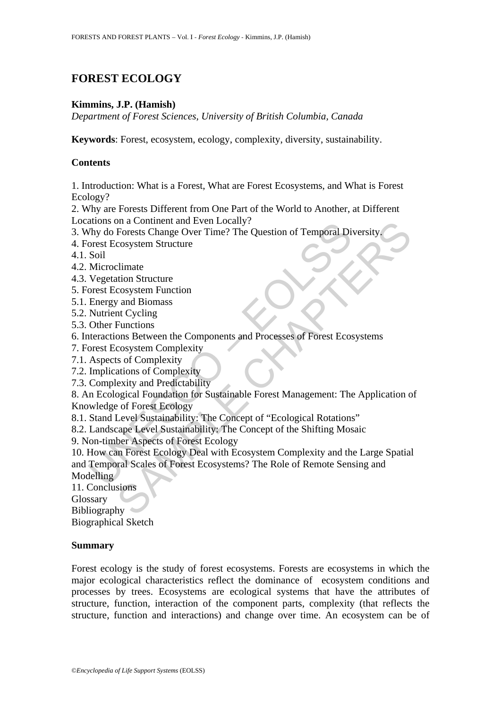# **FOREST ECOLOGY**

### **Kimmins, J.P. (Hamish)**

*Department of Forest Sciences, University of British Columbia, Canada* 

**Keywords**: Forest, ecosystem, ecology, complexity, diversity, sustainability.

# **Contents**

1. Introduction: What is a Forest, What are Forest Ecosystems, and What is Forest Ecology?

2. Why are Forests Different from One Part of the World to Another, at Different Locations on a Continent and Even Locally?

3. Why do Forests Change Over Time? The Question of Temporal Diversity.

4. Forest Ecosystem Structure

4.1. Soil

- 4.2. Microclimate
- 4.3. Vegetation Structure
- 5. Forest Ecosystem Function
- 5.1. Energy and Biomass
- 5.2. Nutrient Cycling
- 5.3. Other Functions
- 6. Interactions Between the Components and Processes of Forest Ecosystems
- 7. Forest Ecosystem Complexity
- 7.1. Aspects of Complexity
- 7.2. Implications of Complexity
- 7.3. Complexity and Predictability

8. An Ecological Foundation for Sustainable Forest Management: The Application of Knowledge of Forest Ecology

- 8.1. Stand Level Sustainability: The Concept of "Ecological Rotations"
- 8.2. Landscape Level Sustainability: The Concept of the Shifting Mosaic
- 9. Non-timber Aspects of Forest Ecology

Atoms on a Continent and Even Localy?<br>
Thy do Forests Change Over Time? The Question of Temporal Di<br>
Thy do Forests Change Over Time? The Question of Temporal Di<br>
Soil<br>
Microclimate<br>
Vegetation Structure<br>
Everystern Functi ma a Contument and Even Locally?<br>
The Tenests Change Over Time? The Question of Temporal Diversity.<br>
Cosystem Structure<br>
Elimate<br>
tion Structure<br>
cosystem Function<br>
and Biomass<br>
Functions<br>
Susemented Complexity<br>
Entions<br>
c 10. How can Forest Ecology Deal with Ecosystem Complexity and the Large Spatial and Temporal Scales of Forest Ecosystems? The Role of Remote Sensing and Modelling

11. Conclusions

Glossary

Bibliography

Biographical Sketch

#### **Summary**

Forest ecology is the study of forest ecosystems. Forests are ecosystems in which the major ecological characteristics reflect the dominance of ecosystem conditions and processes by trees. Ecosystems are ecological systems that have the attributes of structure, function, interaction of the component parts, complexity (that reflects the structure, function and interactions) and change over time. An ecosystem can be of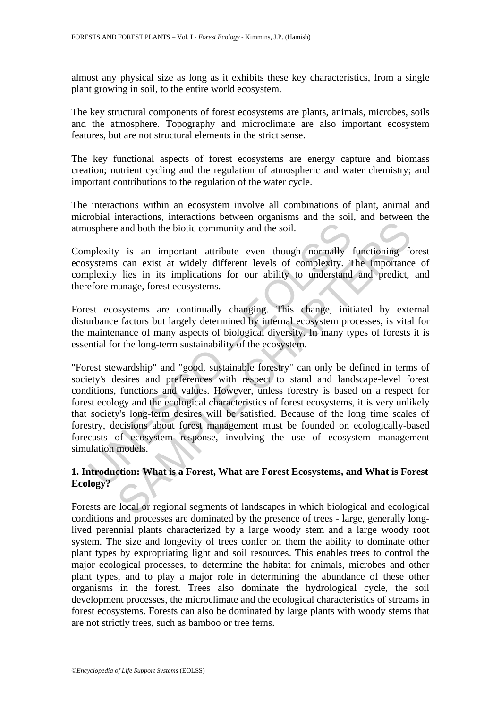almost any physical size as long as it exhibits these key characteristics, from a single plant growing in soil, to the entire world ecosystem.

The key structural components of forest ecosystems are plants, animals, microbes, soils and the atmosphere. Topography and microclimate are also important ecosystem features, but are not structural elements in the strict sense.

The key functional aspects of forest ecosystems are energy capture and biomass creation; nutrient cycling and the regulation of atmospheric and water chemistry; and important contributions to the regulation of the water cycle.

The interactions within an ecosystem involve all combinations of plant, animal and microbial interactions, interactions between organisms and the soil, and between the atmosphere and both the biotic community and the soil.

Complexity is an important attribute even though normally functioning forest ecosystems can exist at widely different levels of complexity. The importance of complexity lies in its implications for our ability to understand and predict, and therefore manage, forest ecosystems.

Forest ecosystems are continually changing. This change, initiated by external disturbance factors but largely determined by internal ecosystem processes, is vital for the maintenance of many aspects of biological diversity. In many types of forests it is essential for the long-term sustainability of the ecosystem.

osphere and both the biotic community and the soil.<br>
applexity is an important attribute even though normally<br>
systems can exist at widely different levels of complexity. Ty<br>
systems can exist at widely different levels of is an important attribute ven though normally functioning for and both the biotic community and the soil.<br>
y is an important attribute even though normally functioning for can exist at widely different levels of complexity "Forest stewardship" and "good, sustainable forestry" can only be defined in terms of society's desires and preferences with respect to stand and landscape-level forest conditions, functions and values. However, unless forestry is based on a respect for forest ecology and the ecological characteristics of forest ecosystems, it is very unlikely that society's long-term desires will be satisfied. Because of the long time scales of forestry, decisions about forest management must be founded on ecologically-based forecasts of ecosystem response, involving the use of ecosystem management simulation models.

# **1. Introduction: What is a Forest, What are Forest Ecosystems, and What is Forest Ecology?**

Forests are local or regional segments of landscapes in which biological and ecological conditions and processes are dominated by the presence of trees - large, generally longlived perennial plants characterized by a large woody stem and a large woody root system. The size and longevity of trees confer on them the ability to dominate other plant types by expropriating light and soil resources. This enables trees to control the major ecological processes, to determine the habitat for animals, microbes and other plant types, and to play a major role in determining the abundance of these other organisms in the forest. Trees also dominate the hydrological cycle, the soil development processes, the microclimate and the ecological characteristics of streams in forest ecosystems. Forests can also be dominated by large plants with woody stems that are not strictly trees, such as bamboo or tree ferns.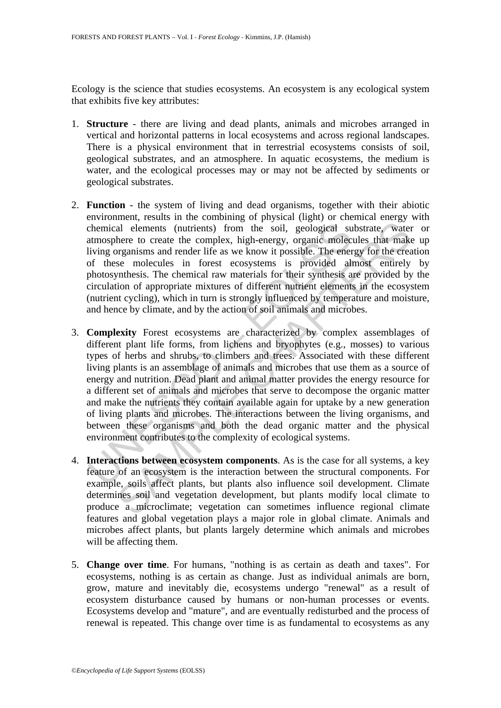Ecology is the science that studies ecosystems. An ecosystem is any ecological system that exhibits five key attributes:

- 1. **Structure**  there are living and dead plants, animals and microbes arranged in vertical and horizontal patterns in local ecosystems and across regional landscapes. There is a physical environment that in terrestrial ecosystems consists of soil, geological substrates, and an atmosphere. In aquatic ecosystems, the medium is water, and the ecological processes may or may not be affected by sediments or geological substrates.
- 2. **Function** the system of living and dead organisms, together with their abiotic environment, results in the combining of physical (light) or chemical energy with chemical elements (nutrients) from the soil, geological substrate, water or atmosphere to create the complex, high-energy, organic molecules that make up living organisms and render life as we know it possible. The energy for the creation of these molecules in forest ecosystems is provided almost entirely by photosynthesis. The chemical raw materials for their synthesis are provided by the circulation of appropriate mixtures of different nutrient elements in the ecosystem (nutrient cycling), which in turn is strongly influenced by temperature and moisture, and hence by climate, and by the action of soil animals and microbes.
- chemical elements (nutrients) from the soil, geological su<br>tatmosphere to create the complex, high-energy, organic molec<br>living organisms and render life as we know it possible. The ener<br>of these molecules in forest ecosys all elements (nutrients) from the soil, geological substrate, water<br>all elements (nutrients) from the soil, geological substrate, water<br>here to create the complex, high-energy, organic molecules that make<br>here to create th 3. **Complexity** Forest ecosystems are characterized by complex assemblages of different plant life forms, from lichens and bryophytes (e.g., mosses) to various types of herbs and shrubs, to climbers and trees. Associated with these different living plants is an assemblage of animals and microbes that use them as a source of energy and nutrition. Dead plant and animal matter provides the energy resource for a different set of animals and microbes that serve to decompose the organic matter and make the nutrients they contain available again for uptake by a new generation of living plants and microbes. The interactions between the living organisms, and between these organisms and both the dead organic matter and the physical environment contributes to the complexity of ecological systems.
- 4. **Interactions between ecosystem components**. As is the case for all systems, a key feature of an ecosystem is the interaction between the structural components. For example, soils affect plants, but plants also influence soil development. Climate determines soil and vegetation development, but plants modify local climate to produce a microclimate; vegetation can sometimes influence regional climate features and global vegetation plays a major role in global climate. Animals and microbes affect plants, but plants largely determine which animals and microbes will be affecting them.
- 5. **Change over time**. For humans, "nothing is as certain as death and taxes". For ecosystems, nothing is as certain as change. Just as individual animals are born, grow, mature and inevitably die, ecosystems undergo "renewal" as a result of ecosystem disturbance caused by humans or non-human processes or events. Ecosystems develop and "mature", and are eventually redisturbed and the process of renewal is repeated. This change over time is as fundamental to ecosystems as any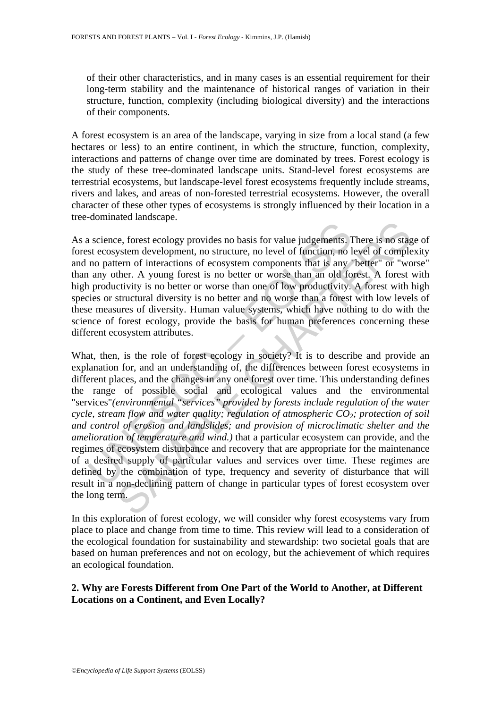of their other characteristics, and in many cases is an essential requirement for their long-term stability and the maintenance of historical ranges of variation in their structure, function, complexity (including biological diversity) and the interactions of their components.

A forest ecosystem is an area of the landscape, varying in size from a local stand (a few hectares or less) to an entire continent, in which the structure, function, complexity, interactions and patterns of change over time are dominated by trees. Forest ecology is the study of these tree-dominated landscape units. Stand-level forest ecosystems are terrestrial ecosystems, but landscape-level forest ecosystems frequently include streams, rivers and lakes, and areas of non-forested terrestrial ecosystems. However, the overall character of these other types of ecosystems is strongly influenced by their location in a tree-dominated landscape.

As a science, forest ecology provides no basis for value judgements. There is no stage of forest ecosystem development, no structure, no level of function, no level of complexity and no pattern of interactions of ecosystem components that is any "better" or "worse" than any other. A young forest is no better or worse than an old forest. A forest with high productivity is no better or worse than one of low productivity. A forest with high species or structural diversity is no better and no worse than a forest with low levels of these measures of diversity. Human value systems, which have nothing to do with the science of forest ecology, provide the basis for human preferences concerning these different ecosystem attributes.

a science, forest ecology provides no basis for value judgements. It ecosystem development, no structure, no level of function, no l<br>no pattern of interactions of ecosystem components that is any<br>a any other. A young fore The method of the properation of the method in the set of the computer of ecosystem development, no structure, no level of function, no level of completern of interactions of ecosystem components that is any "better" or "w What, then, is the role of forest ecology in society? It is to describe and provide an explanation for, and an understanding of, the differences between forest ecosystems in different places, and the changes in any one forest over time. This understanding defines the range of possible social and ecological values and the environmental "services"*(environmental "services" provided by forests include regulation of the water cycle, stream flow and water quality; regulation of atmospheric CO<sub>2</sub>; protection of soil and control of erosion and landslides; and provision of microclimatic shelter and the amelioration of temperature and wind.)* that a particular ecosystem can provide, and the regimes of ecosystem disturbance and recovery that are appropriate for the maintenance of a desired supply of particular values and services over time. These regimes are defined by the combination of type, frequency and severity of disturbance that will result in a non-declining pattern of change in particular types of forest ecosystem over the long term.

In this exploration of forest ecology, we will consider why forest ecosystems vary from place to place and change from time to time. This review will lead to a consideration of the ecological foundation for sustainability and stewardship: two societal goals that are based on human preferences and not on ecology, but the achievement of which requires an ecological foundation.

# **2. Why are Forests Different from One Part of the World to Another, at Different Locations on a Continent, and Even Locally?**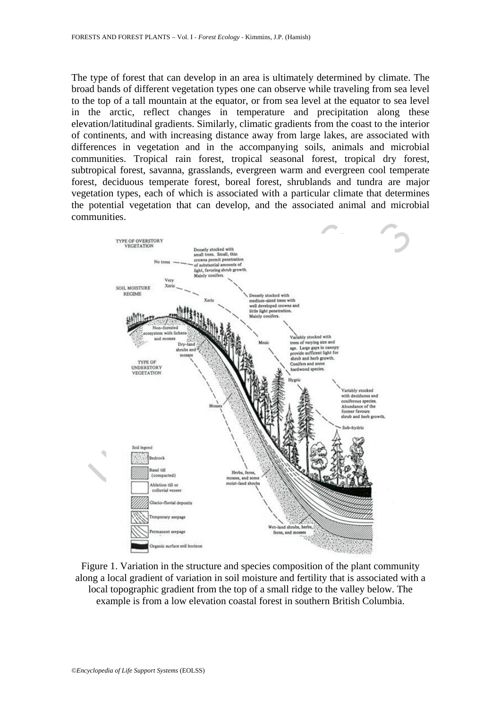The type of forest that can develop in an area is ultimately determined by climate. The broad bands of different vegetation types one can observe while traveling from sea level to the top of a tall mountain at the equator, or from sea level at the equator to sea level in the arctic, reflect changes in temperature and precipitation along these elevation/latitudinal gradients. Similarly, climatic gradients from the coast to the interior of continents, and with increasing distance away from large lakes, are associated with differences in vegetation and in the accompanying soils, animals and microbial communities. Tropical rain forest, tropical seasonal forest, tropical dry forest, subtropical forest, savanna, grasslands, evergreen warm and evergreen cool temperate forest, deciduous temperate forest, boreal forest, shrublands and tundra are major vegetation types, each of which is associated with a particular climate that determines the potential vegetation that can develop, and the associated animal and microbial communities.



Figure 1. Variation in the structure and species composition of the plant community along a local gradient of variation in soil moisture and fertility that is associated with a local topographic gradient from the top of a small ridge to the valley below. The example is from a low elevation coastal forest in southern British Columbia.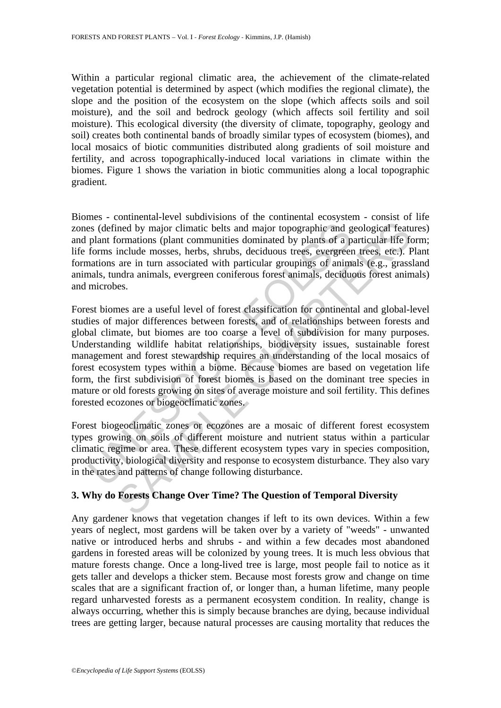Within a particular regional climatic area, the achievement of the climate-related vegetation potential is determined by aspect (which modifies the regional climate), the slope and the position of the ecosystem on the slope (which affects soils and soil moisture), and the soil and bedrock geology (which affects soil fertility and soil moisture). This ecological diversity (the diversity of climate, topography, geology and soil) creates both continental bands of broadly similar types of ecosystem (biomes), and local mosaics of biotic communities distributed along gradients of soil moisture and fertility, and across topographically-induced local variations in climate within the biomes. Figure 1 shows the variation in biotic communities along a local topographic gradient.

Biomes - continental-level subdivisions of the continental ecosystem - consist of life zones (defined by major climatic belts and major topographic and geological features) and plant formations (plant communities dominated by plants of a particular life form; life forms include mosses, herbs, shrubs, deciduous trees, evergreen trees, etc.). Plant formations are in turn associated with particular groupings of animals (e.g., grassland animals, tundra animals, evergreen coniferous forest animals, deciduous forest animals) and microbes.

is (defined by major climatic belts and major topographic and g plant formations (plant communities dominated by plants of a p forms include mosses, herbs, shrubs, deciduous trees, evergreen antions are in turn associated ined by major climatic belts and major topographic and geological feattornations (plant communities dominated by plants of a particular life from<br>the are in the asses, herbs, shubs, deciduous trees, evergreen trees, etc.). Forest biomes are a useful level of forest classification for continental and global-level studies of major differences between forests, and of relationships between forests and global climate, but biomes are too coarse a level of subdivision for many purposes. Understanding wildlife habitat relationships, biodiversity issues, sustainable forest management and forest stewardship requires an understanding of the local mosaics of forest ecosystem types within a biome. Because biomes are based on vegetation life form, the first subdivision of forest biomes is based on the dominant tree species in mature or old forests growing on sites of average moisture and soil fertility. This defines forested ecozones or biogeoclimatic zones.

Forest biogeoclimatic zones or ecozones are a mosaic of different forest ecosystem types growing on soils of different moisture and nutrient status within a particular climatic regime or area. These different ecosystem types vary in species composition, productivity, biological diversity and response to ecosystem disturbance. They also vary in the rates and patterns of change following disturbance.

# **3. Why do Forests Change Over Time? The Question of Temporal Diversity**

Any gardener knows that vegetation changes if left to its own devices. Within a few years of neglect, most gardens will be taken over by a variety of "weeds" - unwanted native or introduced herbs and shrubs - and within a few decades most abandoned gardens in forested areas will be colonized by young trees. It is much less obvious that mature forests change. Once a long-lived tree is large, most people fail to notice as it gets taller and develops a thicker stem. Because most forests grow and change on time scales that are a significant fraction of, or longer than, a human lifetime, many people regard unharvested forests as a permanent ecosystem condition. In reality, change is always occurring, whether this is simply because branches are dying, because individual trees are getting larger, because natural processes are causing mortality that reduces the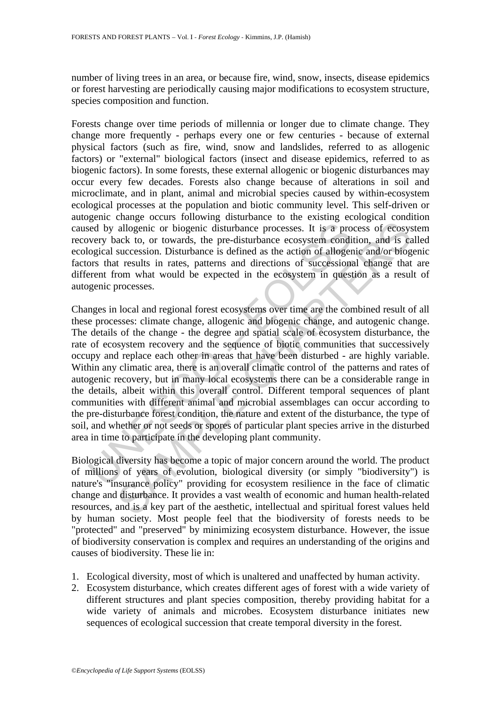number of living trees in an area, or because fire, wind, snow, insects, disease epidemics or forest harvesting are periodically causing major modifications to ecosystem structure, species composition and function.

Forests change over time periods of millennia or longer due to climate change. They change more frequently - perhaps every one or few centuries - because of external physical factors (such as fire, wind, snow and landslides, referred to as allogenic factors) or "external" biological factors (insect and disease epidemics, referred to as biogenic factors). In some forests, these external allogenic or biogenic disturbances may occur every few decades. Forests also change because of alterations in soil and microclimate, and in plant, animal and microbial species caused by within-ecosystem ecological processes at the population and biotic community level. This self-driven or autogenic change occurs following disturbance to the existing ecological condition caused by allogenic or biogenic disturbance processes. It is a process of ecosystem recovery back to, or towards, the pre-disturbance ecosystem condition, and is called ecological succession. Disturbance is defined as the action of allogenic and/or biogenic factors that results in rates, patterns and directions of successional change that are different from what would be expected in the ecosystem in question as a result of autogenic processes.

is a provided by allogenic or biogenic disturbance processes. It is a provery back to, or towards, the pre-disturbance ecosystem condition or alloger ors that results in rates, patterns and directions of successions appear allogenic or biogenic disturbance processes. It is a process of ecosys<br>ack to, or towards, the pre-disturbance coosystem condition, and is care<br>succession. Disturbance is defined as the action of allogenic and/or biogenic<br> Changes in local and regional forest ecosystems over time are the combined result of all these processes: climate change, allogenic and biogenic change, and autogenic change. The details of the change - the degree and spatial scale of ecosystem disturbance, the rate of ecosystem recovery and the sequence of biotic communities that successively occupy and replace each other in areas that have been disturbed - are highly variable. Within any climatic area, there is an overall climatic control of the patterns and rates of autogenic recovery, but in many local ecosystems there can be a considerable range in the details, albeit within this overall control. Different temporal sequences of plant communities with different animal and microbial assemblages can occur according to the pre-disturbance forest condition, the nature and extent of the disturbance, the type of soil, and whether or not seeds or spores of particular plant species arrive in the disturbed area in time to participate in the developing plant community.

Biological diversity has become a topic of major concern around the world. The product of millions of years of evolution, biological diversity (or simply "biodiversity") is nature's "insurance policy" providing for ecosystem resilience in the face of climatic change and disturbance. It provides a vast wealth of economic and human health-related resources, and is a key part of the aesthetic, intellectual and spiritual forest values held by human society. Most people feel that the biodiversity of forests needs to be "protected" and "preserved" by minimizing ecosystem disturbance. However, the issue of biodiversity conservation is complex and requires an understanding of the origins and causes of biodiversity. These lie in:

- 1. Ecological diversity, most of which is unaltered and unaffected by human activity.
- 2. Ecosystem disturbance, which creates different ages of forest with a wide variety of different structures and plant species composition, thereby providing habitat for a wide variety of animals and microbes. Ecosystem disturbance initiates new sequences of ecological succession that create temporal diversity in the forest.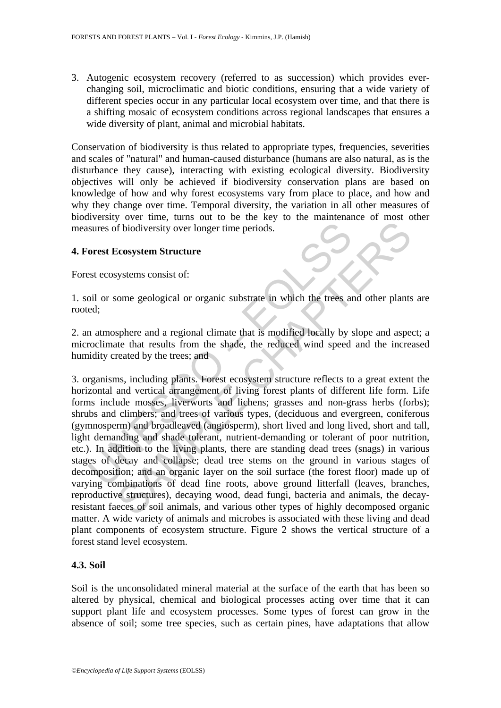3. Autogenic ecosystem recovery (referred to as succession) which provides everchanging soil, microclimatic and biotic conditions, ensuring that a wide variety of different species occur in any particular local ecosystem over time, and that there is a shifting mosaic of ecosystem conditions across regional landscapes that ensures a wide diversity of plant, animal and microbial habitats.

Conservation of biodiversity is thus related to appropriate types, frequencies, severities and scales of "natural" and human-caused disturbance (humans are also natural, as is the disturbance they cause), interacting with existing ecological diversity. Biodiversity objectives will only be achieved if biodiversity conservation plans are based on knowledge of how and why forest ecosystems vary from place to place, and how and why they change over time. Temporal diversity, the variation in all other measures of biodiversity over time, turns out to be the key to the maintenance of most other measures of biodiversity over longer time periods.

### **4. Forest Ecosystem Structure**

Forest ecosystems consist of:

1. soil or some geological or organic substrate in which the trees and other plants are rooted;

2. an atmosphere and a regional climate that is modified locally by slope and aspect; a microclimate that results from the shade, the reduced wind speed and the increased humidity created by the trees; and

sures of biodiversity over longer time periods.<br> **Sorest Ecosystem Structure**<br>
est ecosystems consist of:<br>
coil or some geological or organic substrate in which the trees and<br>
ed;<br>
n atmosphere and a regional climate that For the comparison of the galaxies, there are tanding dead trees of solid and the section of structure comparison of the chapter and a regional climate that is modified locally by slope and aspected by the treat results fr 3. organisms, including plants. Forest ecosystem structure reflects to a great extent the horizontal and vertical arrangement of living forest plants of different life form. Life forms include mosses, liverworts and lichens; grasses and non-grass herbs (forbs); shrubs and climbers; and trees of various types, (deciduous and evergreen, coniferous (gymnosperm) and broadleaved (angiosperm), short lived and long lived, short and tall, light demanding and shade tolerant, nutrient-demanding or tolerant of poor nutrition, etc.). In addition to the living plants, there are standing dead trees (snags) in various stages of decay and collapse; dead tree stems on the ground in various stages of decomposition; and an organic layer on the soil surface (the forest floor) made up of varying combinations of dead fine roots, above ground litterfall (leaves, branches, reproductive structures), decaying wood, dead fungi, bacteria and animals, the decayresistant faeces of soil animals, and various other types of highly decomposed organic matter. A wide variety of animals and microbes is associated with these living and dead plant components of ecosystem structure. Figure 2 shows the vertical structure of a forest stand level ecosystem.

# **4.3. Soil**

Soil is the unconsolidated mineral material at the surface of the earth that has been so altered by physical, chemical and biological processes acting over time that it can support plant life and ecosystem processes. Some types of forest can grow in the absence of soil; some tree species, such as certain pines, have adaptations that allow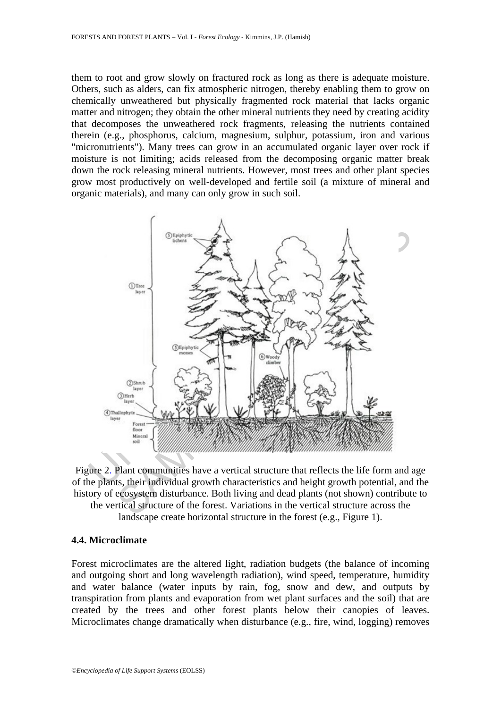them to root and grow slowly on fractured rock as long as there is adequate moisture. Others, such as alders, can fix atmospheric nitrogen, thereby enabling them to grow on chemically unweathered but physically fragmented rock material that lacks organic matter and nitrogen; they obtain the other mineral nutrients they need by creating acidity that decomposes the unweathered rock fragments, releasing the nutrients contained therein (e.g., phosphorus, calcium, magnesium, sulphur, potassium, iron and various "micronutrients"). Many trees can grow in an accumulated organic layer over rock if moisture is not limiting; acids released from the decomposing organic matter break down the rock releasing mineral nutrients. However, most trees and other plant species grow most productively on well-developed and fertile soil (a mixture of mineral and organic materials), and many can only grow in such soil.



Figure 2. Plant communities have a vertical structure that reflects the life form and age of the plants, their individual growth characteristics and height growth potential, and the history of ecosystem disturbance. Both living and dead plants (not shown) contribute to the vertical structure of the forest. Variations in the vertical structure across the landscape create horizontal structure in the forest (e.g., Figure 1).

#### **4.4. Microclimate**

Forest microclimates are the altered light, radiation budgets (the balance of incoming and outgoing short and long wavelength radiation), wind speed, temperature, humidity and water balance (water inputs by rain, fog, snow and dew, and outputs by transpiration from plants and evaporation from wet plant surfaces and the soil) that are created by the trees and other forest plants below their canopies of leaves. Microclimates change dramatically when disturbance (e.g., fire, wind, logging) removes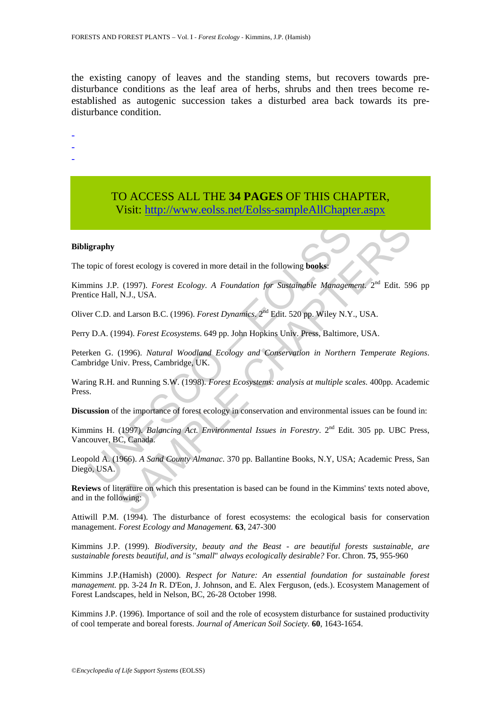the existing canopy of leaves and the standing stems, but recovers towards predisturbance conditions as the leaf area of herbs, shrubs and then trees become reestablished as autogenic succession takes a disturbed area back towards its predisturbance condition.

-

- -
- -

# TO ACCESS ALL THE **34 PAGES** OF THIS CHAPTER, Visit[: http://www.eolss.net/Eolss-sampleAllChapter.aspx](https://www.eolss.net/ebooklib/sc_cart.aspx?File=E5-03-01-06)

#### **Bibligraphy**

The topic of forest ecology is covered in more detail in the following **books**:

**Example 1981**<br>
Stopic of forest ecology is covered in more detail in the following **books:**<br>
mins J.P. (1997). *Forest Ecology. A Foundation for Sustainable Managem*<br>
tice Hall, N.J., USA.<br>
FC.D. and Larson B.C. (1996). forest ecology is covered in more detail in the following **books:**<br>
S. (1997). *Forest Ecology. A Foundation for Sustainable Management*.<sup>224</sup> Edit. 59<br>
N.J., USA.<br>
and Larson B.C. (1996). *Forest Dynamics.* 2<sup>24</sup> Edit. 5 Kimmins J.P. (1997). *Forest Ecology*. *A Foundation for Sustainable Management*. 2nd Edit. 596 pp Prentice Hall, N.J., USA.

Oliver C.D. and Larson B.C. (1996). *Forest Dynamics*. 2nd Edit. 520 pp. Wiley N.Y., USA.

Perry D.A. (1994). *Forest Ecosystems*. 649 pp. John Hopkins Univ. Press, Baltimore, USA.

Peterken G. (1996). *Natural Woodland Ecology and Conservation in Northern Temperate Regions*. Cambridge Univ. Press, Cambridge, UK.

Waring R.H. and Running S.W. (1998). *Forest Ecosystems: analysis at multiple scales*. 400pp. Academic Press.

**Discussion** of the importance of forest ecology in conservation and environmental issues can be found in:

Kimmins H. (1997). *Balancing Act. Environmental Issues in Forestry*. 2<sup>nd</sup> Edit. 305 pp. UBC Press, Vancouver, BC, Canada.

Leopold A. (1966). *A Sand County Almanac*. 370 pp. Ballantine Books, N.Y, USA; Academic Press, San Diego, USA.

**Reviews** of literature on which this presentation is based can be found in the Kimmins' texts noted above, and in the following:

Attiwill P.M. (1994). The disturbance of forest ecosystems: the ecological basis for conservation management. *Forest Ecology and Management.* **63**, 247-300

Kimmins J.P. (1999). *Biodiversity, beauty and the Beast - are beautiful forests sustainable, are sustainable forests beautiful, and is* "*small*" *always ecologically desirable?* For. Chron. **75**, 955-960

Kimmins J.P.(Hamish) (2000). *Respect for Nature: An essential foundation for sustainable forest management.* pp. 3-24 *In* R. D'Eon, J. Johnson, and E. Alex Ferguson, (eds.). Ecosystem Management of Forest Landscapes, held in Nelson, BC, 26-28 October 1998.

Kimmins J.P. (1996). Importance of soil and the role of ecosystem disturbance for sustained productivity of cool temperate and boreal forests. *Journal of American Soil Society.* **60**, 1643-1654.